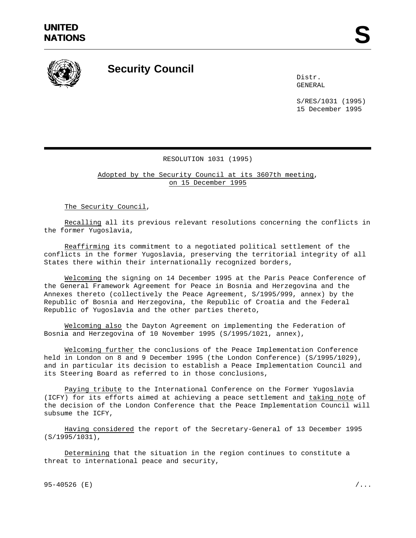

## **Security Council**

Distr. GENERAL

S/RES/1031 (1995) 15 December 1995

## RESOLUTION 1031 (1995)

Adopted by the Security Council at its 3607th meeting, on 15 December 1995

The Security Council,

Recalling all its previous relevant resolutions concerning the conflicts in the former Yugoslavia,

Reaffirming its commitment to a negotiated political settlement of the conflicts in the former Yugoslavia, preserving the territorial integrity of all States there within their internationally recognized borders,

Welcoming the signing on 14 December 1995 at the Paris Peace Conference of the General Framework Agreement for Peace in Bosnia and Herzegovina and the Annexes thereto (collectively the Peace Agreement, S/1995/999, annex) by the Republic of Bosnia and Herzegovina, the Republic of Croatia and the Federal Republic of Yugoslavia and the other parties thereto,

Welcoming also the Dayton Agreement on implementing the Federation of Bosnia and Herzegovina of 10 November 1995 (S/1995/1021, annex),

Welcoming further the conclusions of the Peace Implementation Conference held in London on 8 and 9 December 1995 (the London Conference) (S/1995/1029), and in particular its decision to establish a Peace Implementation Council and its Steering Board as referred to in those conclusions,

Paying tribute to the International Conference on the Former Yugoslavia (ICFY) for its efforts aimed at achieving a peace settlement and taking note of the decision of the London Conference that the Peace Implementation Council will subsume the ICFY,

Having considered the report of the Secretary-General of 13 December 1995 (S/1995/1031),

Determining that the situation in the region continues to constitute a threat to international peace and security,

95-40526 (E)  $/$ ...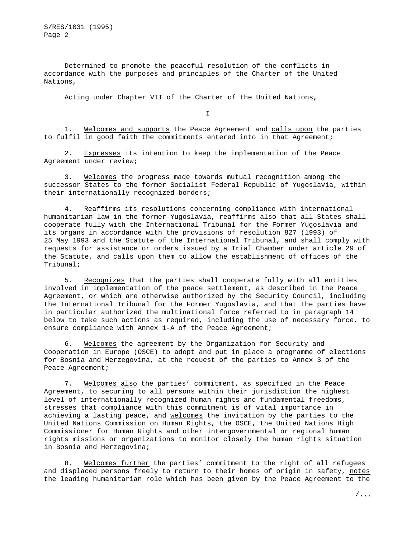S/RES/1031 (1995) Page 2

Determined to promote the peaceful resolution of the conflicts in accordance with the purposes and principles of the Charter of the United Nations,

Acting under Chapter VII of the Charter of the United Nations,

I

1. Welcomes and supports the Peace Agreement and calls upon the parties to fulfil in good faith the commitments entered into in that Agreement;

2. Expresses its intention to keep the implementation of the Peace Agreement under review;

3. Welcomes the progress made towards mutual recognition among the successor States to the former Socialist Federal Republic of Yugoslavia, within their internationally recognized borders;

4. Reaffirms its resolutions concerning compliance with international humanitarian law in the former Yugoslavia, reaffirms also that all States shall cooperate fully with the International Tribunal for the Former Yugoslavia and its organs in accordance with the provisions of resolution 827 (1993) of 25 May 1993 and the Statute of the International Tribunal, and shall comply with requests for assistance or orders issued by a Trial Chamber under article 29 of the Statute, and calls upon them to allow the establishment of offices of the Tribunal;

5. Recognizes that the parties shall cooperate fully with all entities involved in implementation of the peace settlement, as described in the Peace Agreement, or which are otherwise authorized by the Security Council, including the International Tribunal for the Former Yugoslavia, and that the parties have in particular authorized the multinational force referred to in paragraph 14 below to take such actions as required, including the use of necessary force, to ensure compliance with Annex 1-A of the Peace Agreement;

6. Welcomes the agreement by the Organization for Security and Cooperation in Europe (OSCE) to adopt and put in place a programme of elections for Bosnia and Herzegovina, at the request of the parties to Annex 3 of the Peace Agreement;

7. Welcomes also the parties' commitment, as specified in the Peace Agreement, to securing to all persons within their jurisdiction the highest level of internationally recognized human rights and fundamental freedoms, stresses that compliance with this commitment is of vital importance in achieving a lasting peace, and welcomes the invitation by the parties to the United Nations Commission on Human Rights, the OSCE, the United Nations High Commissioner for Human Rights and other intergovernmental or regional human rights missions or organizations to monitor closely the human rights situation in Bosnia and Herzegovina;

8. Welcomes further the parties' commitment to the right of all refugees and displaced persons freely to return to their homes of origin in safety, notes the leading humanitarian role which has been given by the Peace Agreement to the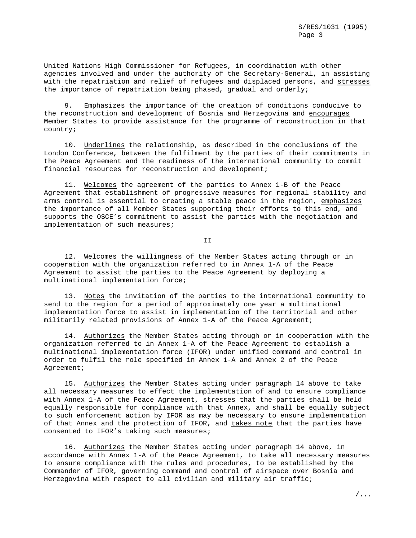United Nations High Commissioner for Refugees, in coordination with other agencies involved and under the authority of the Secretary-General, in assisting with the repatriation and relief of refugees and displaced persons, and stresses the importance of repatriation being phased, gradual and orderly;

9. Emphasizes the importance of the creation of conditions conducive to the reconstruction and development of Bosnia and Herzegovina and encourages Member States to provide assistance for the programme of reconstruction in that country;

10. Underlines the relationship, as described in the conclusions of the London Conference, between the fulfilment by the parties of their commitments in the Peace Agreement and the readiness of the international community to commit financial resources for reconstruction and development;

11. Welcomes the agreement of the parties to Annex 1-B of the Peace Agreement that establishment of progressive measures for regional stability and arms control is essential to creating a stable peace in the region, emphasizes the importance of all Member States supporting their efforts to this end, and supports the OSCE's commitment to assist the parties with the negotiation and implementation of such measures;

II

12. Welcomes the willingness of the Member States acting through or in cooperation with the organization referred to in Annex 1-A of the Peace Agreement to assist the parties to the Peace Agreement by deploying a multinational implementation force;

13. Notes the invitation of the parties to the international community to send to the region for a period of approximately one year a multinational implementation force to assist in implementation of the territorial and other militarily related provisions of Annex 1-A of the Peace Agreement;

14. Authorizes the Member States acting through or in cooperation with the organization referred to in Annex 1-A of the Peace Agreement to establish a multinational implementation force (IFOR) under unified command and control in order to fulfil the role specified in Annex 1-A and Annex 2 of the Peace Agreement;

15. Authorizes the Member States acting under paragraph 14 above to take all necessary measures to effect the implementation of and to ensure compliance with Annex 1-A of the Peace Agreement, stresses that the parties shall be held equally responsible for compliance with that Annex, and shall be equally subject to such enforcement action by IFOR as may be necessary to ensure implementation of that Annex and the protection of IFOR, and takes note that the parties have consented to IFOR's taking such measures;

16. Authorizes the Member States acting under paragraph 14 above, in accordance with Annex 1-A of the Peace Agreement, to take all necessary measures to ensure compliance with the rules and procedures, to be established by the Commander of IFOR, governing command and control of airspace over Bosnia and Herzegovina with respect to all civilian and military air traffic;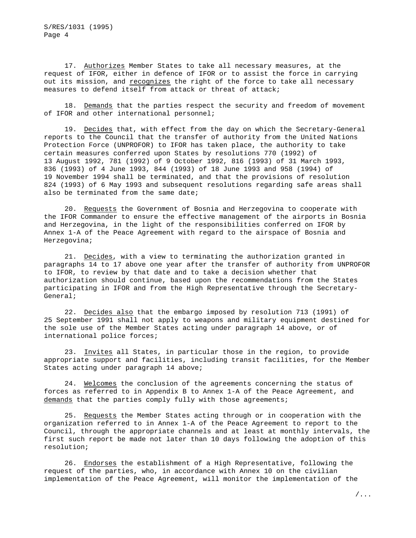17. Authorizes Member States to take all necessary measures, at the request of IFOR, either in defence of IFOR or to assist the force in carrying out its mission, and recognizes the right of the force to take all necessary measures to defend itself from attack or threat of attack;

18. Demands that the parties respect the security and freedom of movement of IFOR and other international personnel;

19. Decides that, with effect from the day on which the Secretary-General reports to the Council that the transfer of authority from the United Nations Protection Force (UNPROFOR) to IFOR has taken place, the authority to take certain measures conferred upon States by resolutions 770 (1992) of 13 August 1992, 781 (1992) of 9 October 1992, 816 (1993) of 31 March 1993, 836 (1993) of 4 June 1993, 844 (1993) of 18 June 1993 and 958 (1994) of 19 November 1994 shall be terminated, and that the provisions of resolution 824 (1993) of 6 May 1993 and subsequent resolutions regarding safe areas shall also be terminated from the same date;

20. Requests the Government of Bosnia and Herzegovina to cooperate with the IFOR Commander to ensure the effective management of the airports in Bosnia and Herzegovina, in the light of the responsibilities conferred on IFOR by Annex 1-A of the Peace Agreement with regard to the airspace of Bosnia and Herzegovina;

21. Decides, with a view to terminating the authorization granted in paragraphs 14 to 17 above one year after the transfer of authority from UNPROFOR to IFOR, to review by that date and to take a decision whether that authorization should continue, based upon the recommendations from the States participating in IFOR and from the High Representative through the Secretary-General;

22. Decides also that the embargo imposed by resolution 713 (1991) of 25 September 1991 shall not apply to weapons and military equipment destined for the sole use of the Member States acting under paragraph 14 above, or of international police forces;

23. Invites all States, in particular those in the region, to provide appropriate support and facilities, including transit facilities, for the Member States acting under paragraph 14 above;

24. Welcomes the conclusion of the agreements concerning the status of forces as referred to in Appendix B to Annex 1-A of the Peace Agreement, and demands that the parties comply fully with those agreements;

25. Requests the Member States acting through or in cooperation with the organization referred to in Annex 1-A of the Peace Agreement to report to the Council, through the appropriate channels and at least at monthly intervals, the first such report be made not later than 10 days following the adoption of this resolution;

26. Endorses the establishment of a High Representative, following the request of the parties, who, in accordance with Annex 10 on the civilian implementation of the Peace Agreement, will monitor the implementation of the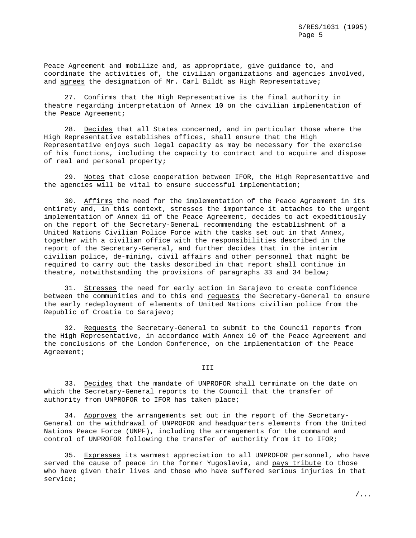Peace Agreement and mobilize and, as appropriate, give guidance to, and coordinate the activities of, the civilian organizations and agencies involved, and agrees the designation of Mr. Carl Bildt as High Representative;

27. Confirms that the High Representative is the final authority in theatre regarding interpretation of Annex 10 on the civilian implementation of the Peace Agreement;

28. Decides that all States concerned, and in particular those where the High Representative establishes offices, shall ensure that the High Representative enjoys such legal capacity as may be necessary for the exercise of his functions, including the capacity to contract and to acquire and dispose of real and personal property;

29. Notes that close cooperation between IFOR, the High Representative and the agencies will be vital to ensure successful implementation;

30. Affirms the need for the implementation of the Peace Agreement in its entirety and, in this context, stresses the importance it attaches to the urgent implementation of Annex 11 of the Peace Agreement, decides to act expeditiously on the report of the Secretary-General recommending the establishment of a United Nations Civilian Police Force with the tasks set out in that Annex, together with a civilian office with the responsibilities described in the report of the Secretary-General, and further decides that in the interim civilian police, de-mining, civil affairs and other personnel that might be required to carry out the tasks described in that report shall continue in theatre, notwithstanding the provisions of paragraphs 33 and 34 below;

31. Stresses the need for early action in Sarajevo to create confidence between the communities and to this end requests the Secretary-General to ensure the early redeployment of elements of United Nations civilian police from the Republic of Croatia to Sarajevo;

32. Requests the Secretary-General to submit to the Council reports from the High Representative, in accordance with Annex 10 of the Peace Agreement and the conclusions of the London Conference, on the implementation of the Peace Agreement;

## III

33. Decides that the mandate of UNPROFOR shall terminate on the date on which the Secretary-General reports to the Council that the transfer of authority from UNPROFOR to IFOR has taken place;

34. Approves the arrangements set out in the report of the Secretary-General on the withdrawal of UNPROFOR and headquarters elements from the United Nations Peace Force (UNPF), including the arrangements for the command and control of UNPROFOR following the transfer of authority from it to IFOR;

35. Expresses its warmest appreciation to all UNPROFOR personnel, who have served the cause of peace in the former Yugoslavia, and pays tribute to those who have given their lives and those who have suffered serious injuries in that service;